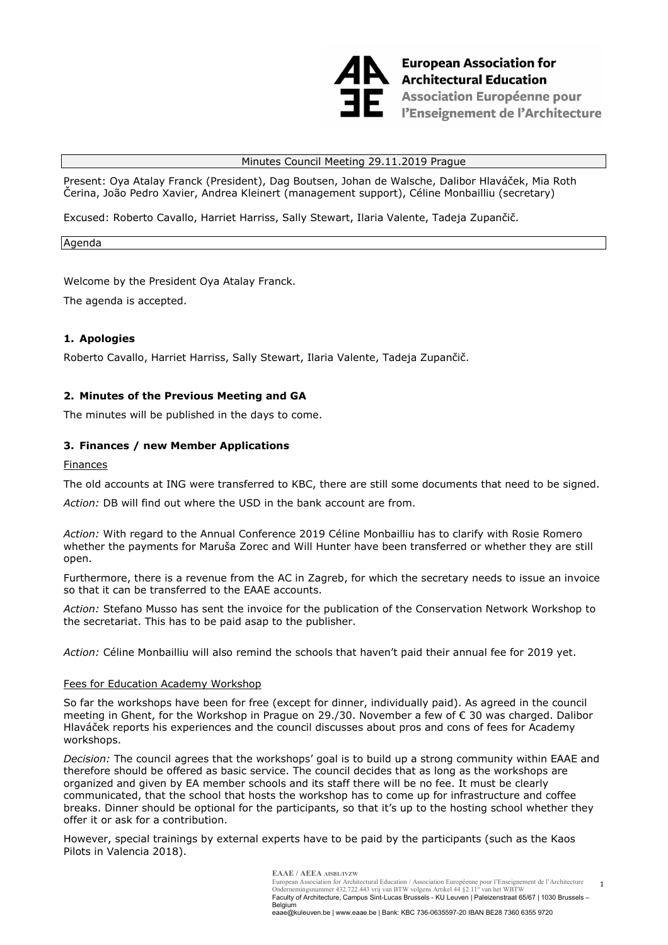

# Minutes Council Meeting 29.11.2019 Prague

Present: Oya Atalay Franck (President), Dag Boutsen, Johan de Walsche, Dalibor Hlaváček, Mia Roth Čerina, João Pedro Xavier, Andrea Kleinert (management support), Céline Monbailliu (secretary)

Excused: Roberto Cavallo, Harriet Harriss, Sally Stewart, Ilaria Valente, Tadeja Zupančič.

Agenda

Welcome by the President Oya Atalay Franck.

The agenda is accepted.

# **1. Apologies**

Roberto Cavallo, Harriet Harriss, Sally Stewart, Ilaria Valente, Tadeja Zupančič.

# **2. Minutes of the Previous Meeting and GA**

The minutes will be published in the days to come.

# **3. Finances / new Member Applications**

Finances

The old accounts at ING were transferred to KBC, there are still some documents that need to be signed.

*Action:* DB will find out where the USD in the bank account are from.

*Action:* With regard to the Annual Conference 2019 Céline Monbailliu has to clarify with Rosie Romero whether the payments for Maruša Zorec and Will Hunter have been transferred or whether they are still open.

Furthermore, there is a revenue from the AC in Zagreb, for which the secretary needs to issue an invoice so that it can be transferred to the EAAE accounts.

*Action:* Stefano Musso has sent the invoice for the publication of the Conservation Network Workshop to the secretariat. This has to be paid asap to the publisher.

*Action:* Céline Monbailliu will also remind the schools that haven't paid their annual fee for 2019 yet.

### Fees for Education Academy Workshop

So far the workshops have been for free (except for dinner, individually paid). As agreed in the council meeting in Ghent, for the Workshop in Prague on 29./30. November a few of € 30 was charged. Dalibor Hlaváček reports his experiences and the council discusses about pros and cons of fees for Academy workshops.

*Decision:* The council agrees that the workshops' goal is to build up a strong community within EAAE and therefore should be offered as basic service. The council decides that as long as the workshops are organized and given by EA member schools and its staff there will be no fee. It must be clearly communicated, that the school that hosts the workshop has to come up for infrastructure and coffee breaks. Dinner should be optional for the participants, so that it's up to the hosting school whether they offer it or ask for a contribution.

However, special trainings by external experts have to be paid by the participants (such as the Kaos Pilots in Valencia 2018).

> **EAAE / AEEA AISBL/IVZW** European Association for Architectural Education / Association Européenne pour l'Enseignement de l'Architecture Ondernemingsnummer 432.722.443 vrij van BTW volgens Artikel 44 §2 11° van het WBTW Faculty of Architecture, Campus Sint-Lucas Brussels - KU Leuven | Paleizenstraat 65/67 | 1030 Brussels – Belgium eaae@kuleuven.be | www.eaae.be | Bank: KBC 736-0635597-20 IBAN BE28 7360 6355 9720

1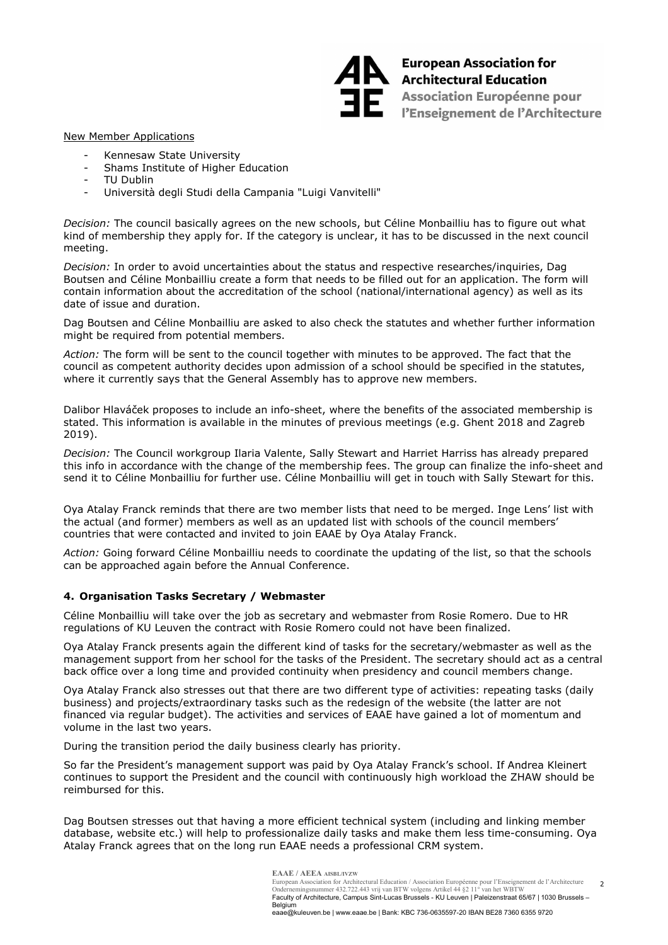

European Association for<br>Architectural Education Association Européenne pour<br>PEnseignement de l'Architect l'Enseignement de l'Architecture

## New Member Applications

- Kennesaw State University
- Shams Institute of Higher Education
- TU Dublin
- Università degli Studi della Campania "Luigi Vanvitelli"

*Decision:* The council basically agrees on the new schools, but Céline Monbailliu has to figure out what kind of membership they apply for. If the category is unclear, it has to be discussed in the next council meeting.

*Decision:* In order to avoid uncertainties about the status and respective researches/inquiries, Dag Boutsen and Céline Monbailliu create a form that needs to be filled out for an application. The form will contain information about the accreditation of the school (national/international agency) as well as its date of issue and duration.

Dag Boutsen and Céline Monbailliu are asked to also check the statutes and whether further information might be required from potential members.

*Action:* The form will be sent to the council together with minutes to be approved. The fact that the council as competent authority decides upon admission of a school should be specified in the statutes, where it currently says that the General Assembly has to approve new members.

Dalibor Hlaváček proposes to include an info-sheet, where the benefits of the associated membership is stated. This information is available in the minutes of previous meetings (e.g. Ghent 2018 and Zagreb 2019).

*Decision:* The Council workgroup Ilaria Valente, Sally Stewart and Harriet Harriss has already prepared this info in accordance with the change of the membership fees. The group can finalize the info-sheet and send it to Céline Monbailliu for further use. Céline Monbailliu will get in touch with Sally Stewart for this.

Oya Atalay Franck reminds that there are two member lists that need to be merged. Inge Lens' list with the actual (and former) members as well as an updated list with schools of the council members' countries that were contacted and invited to join EAAE by Oya Atalay Franck.

*Action:* Going forward Céline Monbailliu needs to coordinate the updating of the list, so that the schools can be approached again before the Annual Conference.

### **4. Organisation Tasks Secretary / Webmaster**

Céline Monbailliu will take over the job as secretary and webmaster from Rosie Romero. Due to HR regulations of KU Leuven the contract with Rosie Romero could not have been finalized.

Oya Atalay Franck presents again the different kind of tasks for the secretary/webmaster as well as the management support from her school for the tasks of the President. The secretary should act as a central back office over a long time and provided continuity when presidency and council members change.

Oya Atalay Franck also stresses out that there are two different type of activities: repeating tasks (daily business) and projects/extraordinary tasks such as the redesign of the website (the latter are not financed via regular budget). The activities and services of EAAE have gained a lot of momentum and volume in the last two years.

During the transition period the daily business clearly has priority.

So far the President's management support was paid by Oya Atalay Franck's school. If Andrea Kleinert continues to support the President and the council with continuously high workload the ZHAW should be reimbursed for this.

Dag Boutsen stresses out that having a more efficient technical system (including and linking member database, website etc.) will help to professionalize daily tasks and make them less time-consuming. Oya Atalay Franck agrees that on the long run EAAE needs a professional CRM system.

> $\overline{2}$ **EAAE / AEEA AISBL/IVZW** European Association for Architectural Education / Association Européenne pour l'Enseignement de l'Architecture<br>Ondernemingsnummer 432.722.443 vrij van BTW volgens Artikel 44 §2 11° van het WBTW<br>Faculty of Architecture, Ca Belgium eaae@kuleuven.be | www.eaae.be | Bank: KBC 736-0635597-20 IBAN BE28 7360 6355 9720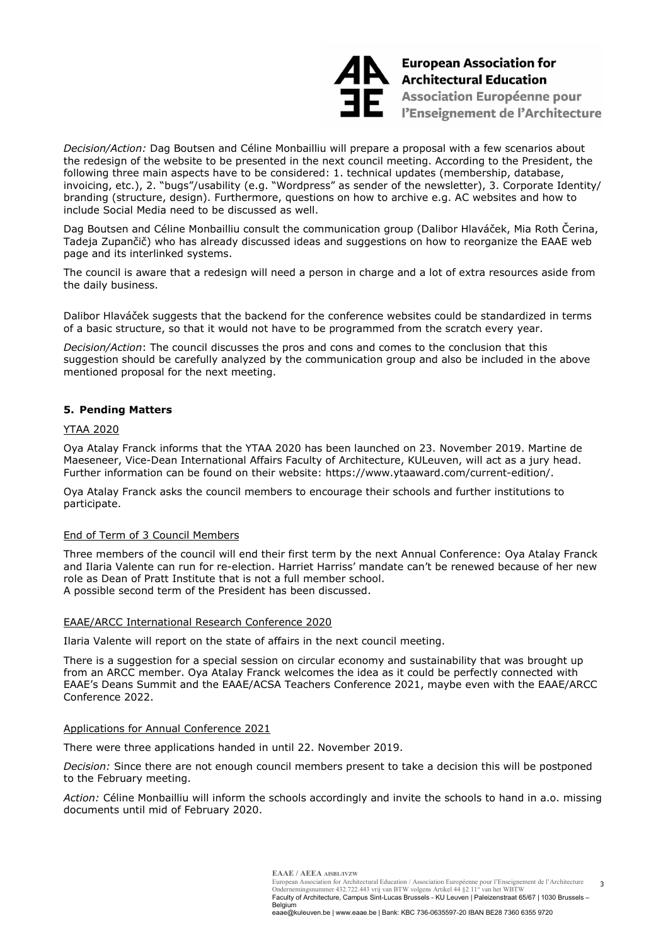

**European Association for<br>A** Architectural Education Association Européenne pour l'Enseignement de l'Architecture

*Decision/Action:* Dag Boutsen and Céline Monbailliu will prepare a proposal with a few scenarios about the redesign of the website to be presented in the next council meeting. According to the President, the following three main aspects have to be considered: 1. technical updates (membership, database, invoicing, etc.), 2. "bugs"/usability (e.g. "Wordpress" as sender of the newsletter), 3. Corporate Identity/ branding (structure, design). Furthermore, questions on how to archive e.g. AC websites and how to include Social Media need to be discussed as well.

Dag Boutsen and Céline Monbailliu consult the communication group (Dalibor Hlaváček, Mia Roth Čerina, Tadeja Zupančič) who has already discussed ideas and suggestions on how to reorganize the EAAE web page and its interlinked systems.

The council is aware that a redesign will need a person in charge and a lot of extra resources aside from the daily business.

Dalibor Hlaváček suggests that the backend for the conference websites could be standardized in terms of a basic structure, so that it would not have to be programmed from the scratch every year.

*Decision/Action*: The council discusses the pros and cons and comes to the conclusion that this suggestion should be carefully analyzed by the communication group and also be included in the above mentioned proposal for the next meeting.

# **5. Pending Matters**

#### YTAA 2020

Oya Atalay Franck informs that the YTAA 2020 has been launched on 23. November 2019. Martine de Maeseneer, Vice-Dean International Affairs Faculty of Architecture, KULeuven, will act as a jury head. Further information can be found on their website: https://www.ytaaward.com/current-edition/.

Oya Atalay Franck asks the council members to encourage their schools and further institutions to participate.

### End of Term of 3 Council Members

Three members of the council will end their first term by the next Annual Conference: Oya Atalay Franck and Ilaria Valente can run for re-election. Harriet Harriss' mandate can't be renewed because of her new role as Dean of Pratt Institute that is not a full member school. A possible second term of the President has been discussed.

#### EAAE/ARCC International Research Conference 2020

Ilaria Valente will report on the state of affairs in the next council meeting.

There is a suggestion for a special session on circular economy and sustainability that was brought up from an ARCC member. Oya Atalay Franck welcomes the idea as it could be perfectly connected with EAAE's Deans Summit and the EAAE/ACSA Teachers Conference 2021, maybe even with the EAAE/ARCC Conference 2022.

#### Applications for Annual Conference 2021

There were three applications handed in until 22. November 2019.

*Decision:* Since there are not enough council members present to take a decision this will be postponed to the February meeting.

*Action:* Céline Monbailliu will inform the schools accordingly and invite the schools to hand in a.o. missing documents until mid of February 2020.

Belgium

eaae@kuleuven.be | www.eaae.be | Bank: KBC 736-0635597-20 IBAN BE28 7360 6355 9720